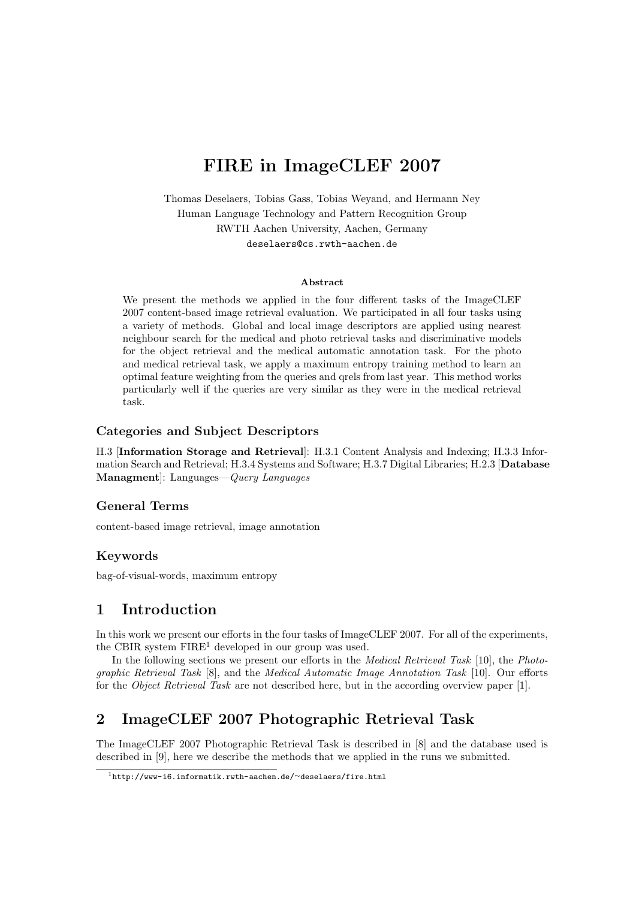# FIRE in ImageCLEF 2007

Thomas Deselaers, Tobias Gass, Tobias Weyand, and Hermann Ney Human Language Technology and Pattern Recognition Group RWTH Aachen University, Aachen, Germany deselaers@cs.rwth-aachen.de

#### Abstract

We present the methods we applied in the four different tasks of the ImageCLEF 2007 content-based image retrieval evaluation. We participated in all four tasks using a variety of methods. Global and local image descriptors are applied using nearest neighbour search for the medical and photo retrieval tasks and discriminative models for the object retrieval and the medical automatic annotation task. For the photo and medical retrieval task, we apply a maximum entropy training method to learn an optimal feature weighting from the queries and qrels from last year. This method works particularly well if the queries are very similar as they were in the medical retrieval task.

#### Categories and Subject Descriptors

H.3 [Information Storage and Retrieval]: H.3.1 Content Analysis and Indexing; H.3.3 Information Search and Retrieval; H.3.4 Systems and Software; H.3.7 Digital Libraries; H.2.3 [Database Managment]: Languages—Query Languages

#### General Terms

content-based image retrieval, image annotation

#### Keywords

bag-of-visual-words, maximum entropy

### 1 Introduction

In this work we present our efforts in the four tasks of ImageCLEF 2007. For all of the experiments, the CBIR system  $FIRE<sup>1</sup>$  developed in our group was used.

In the following sections we present our efforts in the *Medical Retrieval Task* [10], the *Photo*graphic Retrieval Task [8], and the Medical Automatic Image Annotation Task [10]. Our efforts for the Object Retrieval Task are not described here, but in the according overview paper [1].

# 2 ImageCLEF 2007 Photographic Retrieval Task

The ImageCLEF 2007 Photographic Retrieval Task is described in [8] and the database used is described in [9], here we describe the methods that we applied in the runs we submitted.

<sup>1</sup>http://www-i6.informatik.rwth-aachen.de/∼deselaers/fire.html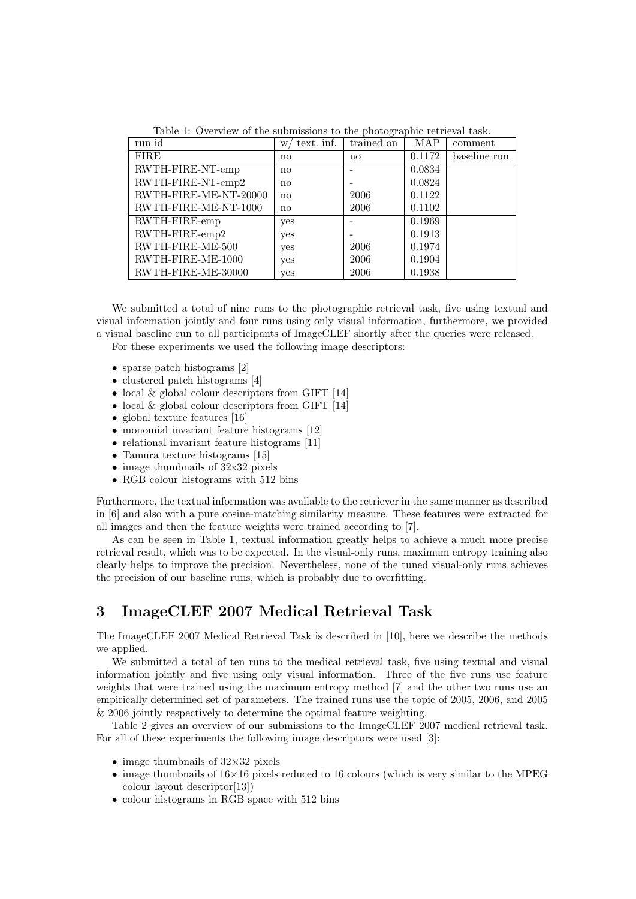| run id                | text. inf.<br>W.       | trained on             | MAP    | comment      |
|-----------------------|------------------------|------------------------|--------|--------------|
| <b>FIRE</b>           | $\mathbf{n}\mathbf{o}$ | $\mathbf{n}\mathbf{o}$ | 0.1172 | baseline run |
| RWTH-FIRE-NT-emp      | $\mathbf{n}\mathbf{o}$ |                        | 0.0834 |              |
| RWTH-FIRE-NT-emp2     | $\mathbf{n}\mathbf{o}$ |                        | 0.0824 |              |
| RWTH-FIRE-ME-NT-20000 | $\mathbf{n}\mathbf{o}$ | 2006                   | 0.1122 |              |
| RWTH-FIRE-ME-NT-1000  | $\mathbf{n}\mathbf{o}$ | 2006                   | 0.1102 |              |
| RWTH-FIRE-emp         | yes                    |                        | 0.1969 |              |
| RWTH-FIRE-emp2        | yes                    |                        | 0.1913 |              |
| RWTH-FIRE-ME-500      | yes                    | 2006                   | 0.1974 |              |
| RWTH-FIRE-ME-1000     | yes                    | 2006                   | 0.1904 |              |
| RWTH-FIRE-ME-30000    | yes                    | 2006                   | 0.1938 |              |

Table 1: Overview of the submissions to the photographic retrieval task.

We submitted a total of nine runs to the photographic retrieval task, five using textual and visual information jointly and four runs using only visual information, furthermore, we provided a visual baseline run to all participants of ImageCLEF shortly after the queries were released. For these experiments we used the following image descriptors:

- sparse patch histograms [2]
- clustered patch histograms [4]
- $\bullet$  local & global colour descriptors from GIFT [14]
- $\bullet$  local  $\&$  global colour descriptors from GIFT  $[14]$
- global texture features [16]
- monomial invariant feature histograms [12]
- relational invariant feature histograms [11]
- Tamura texture histograms [15]
- image thumbnails of 32x32 pixels
- RGB colour histograms with 512 bins

Furthermore, the textual information was available to the retriever in the same manner as described in [6] and also with a pure cosine-matching similarity measure. These features were extracted for all images and then the feature weights were trained according to [7].

As can be seen in Table 1, textual information greatly helps to achieve a much more precise retrieval result, which was to be expected. In the visual-only runs, maximum entropy training also clearly helps to improve the precision. Nevertheless, none of the tuned visual-only runs achieves the precision of our baseline runs, which is probably due to overfitting.

### 3 ImageCLEF 2007 Medical Retrieval Task

The ImageCLEF 2007 Medical Retrieval Task is described in [10], here we describe the methods we applied.

We submitted a total of ten runs to the medical retrieval task, five using textual and visual information jointly and five using only visual information. Three of the five runs use feature weights that were trained using the maximum entropy method [7] and the other two runs use an empirically determined set of parameters. The trained runs use the topic of 2005, 2006, and 2005 & 2006 jointly respectively to determine the optimal feature weighting.

Table 2 gives an overview of our submissions to the ImageCLEF 2007 medical retrieval task. For all of these experiments the following image descriptors were used [3]:

- image thumbnails of  $32\times32$  pixels
- image thumbnails of  $16\times16$  pixels reduced to 16 colours (which is very similar to the MPEG colour layout descriptor[13])
- colour histograms in RGB space with 512 bins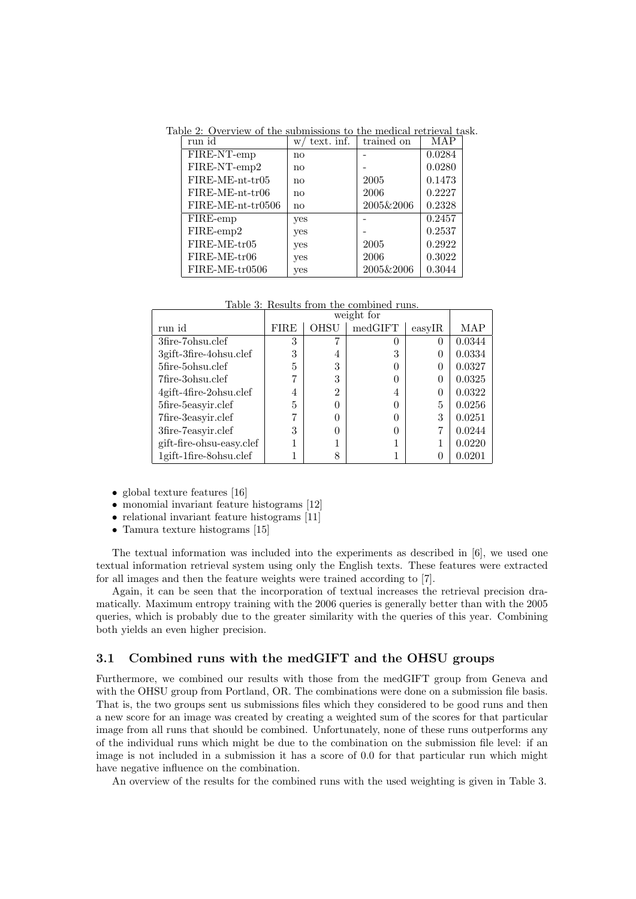| run id              | text. inf.<br>$\le t$ | trained on | MAP    |
|---------------------|-----------------------|------------|--------|
| FIRE-NT-emp         | no                    |            | 0.0284 |
| FIRE-NT-emp2        | no                    |            | 0.0280 |
| $FIRE-ME-nt-tr05$   | no                    | 2005       | 0.1473 |
| FIRE-ME-nt-tr06     | no                    | 2006       | 0.2227 |
| $FIRE-ME-nt-tr0506$ | no                    | 2005&2006  | 0.2328 |
| FIRE-emp            | yes                   |            | 0.2457 |
| FIRE-emp2           | yes                   |            | 0.2537 |
| $FIRE-ME-tr05$      | yes                   | 2005       | 0.2922 |
| FIRE-ME-tr06        | yes                   | 2006       | 0.3022 |
| $FIRE-ME-tr0506$    | yes                   | 2005&2006  | 0.3044 |

Table 2: Overview of the submissions to the medical retrieval task.

Table 3: Results from the combined runs.

|                          | weight for   |                |         |           |        |
|--------------------------|--------------|----------------|---------|-----------|--------|
| run id                   | ${\rm FIRE}$ | <b>OHSU</b>    | medGIFT | $\exp$ IR | MAP    |
| 3fire-7ohsu.clef         | 3            |                |         |           | 0.0344 |
| 3gift-3fire-4ohsu.clef   | 3            | 4              | 3       |           | 0.0334 |
| 5fire-5ohsu.clef         | 5            | 3              |         |           | 0.0327 |
| 7fire-3ohsu.clef         |              | 3              |         |           | 0.0325 |
| 4gift-4fire-2ohsu.clef   | 4            | $\overline{2}$ | 4       |           | 0.0322 |
| 5fire-5easyir.clef       | 5            |                |         | 5         | 0.0256 |
| 7fire-3easyir.clef       |              |                |         | 3         | 0.0251 |
| 3fire-7easyir.clef       | 3            |                |         |           | 0.0244 |
| gift-fire-ohsu-easy.clef |              |                |         |           | 0.0220 |
| 1gift-1fire-8ohsu.clef   |              | 8              |         |           | 0.0201 |

- global texture features [16]
- monomial invariant feature histograms [12]
- relational invariant feature histograms [11]
- Tamura texture histograms [15]

The textual information was included into the experiments as described in [6], we used one textual information retrieval system using only the English texts. These features were extracted for all images and then the feature weights were trained according to [7].

Again, it can be seen that the incorporation of textual increases the retrieval precision dramatically. Maximum entropy training with the 2006 queries is generally better than with the 2005 queries, which is probably due to the greater similarity with the queries of this year. Combining both yields an even higher precision.

#### 3.1 Combined runs with the medGIFT and the OHSU groups

Furthermore, we combined our results with those from the medGIFT group from Geneva and with the OHSU group from Portland, OR. The combinations were done on a submission file basis. That is, the two groups sent us submissions files which they considered to be good runs and then a new score for an image was created by creating a weighted sum of the scores for that particular image from all runs that should be combined. Unfortunately, none of these runs outperforms any of the individual runs which might be due to the combination on the submission file level: if an image is not included in a submission it has a score of 0.0 for that particular run which might have negative influence on the combination.

An overview of the results for the combined runs with the used weighting is given in Table 3.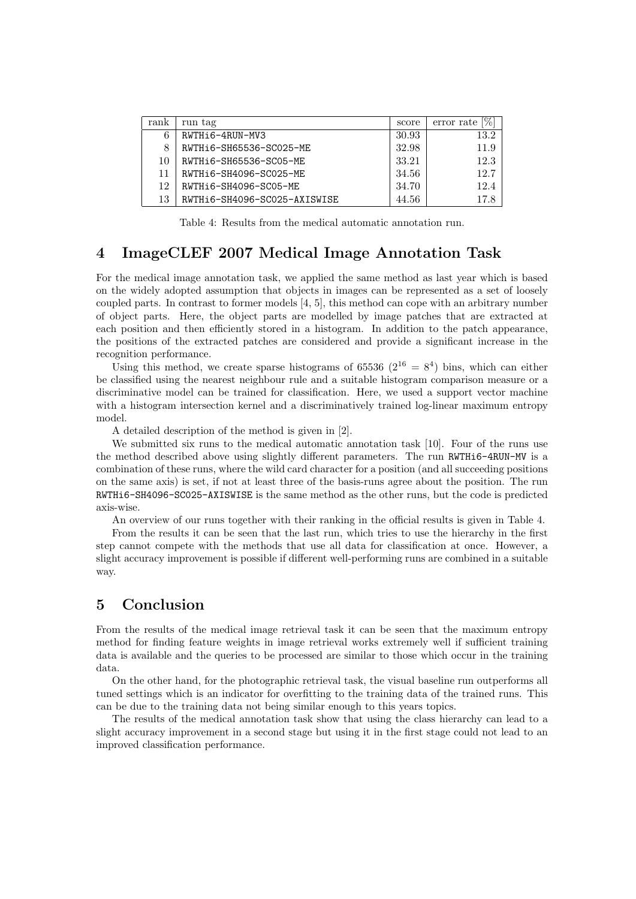| rank | run tag                      | score | $[\%]$<br>error rate |
|------|------------------------------|-------|----------------------|
| 6    | RWTHi6-4RUN-MV3              | 30.93 | 13.2                 |
| 8    | RWTHi6-SH65536-SC025-ME      | 32.98 | 11.9                 |
| 10   | RWTH16-SH65536-SC05-ME       | 33.21 | 12.3                 |
| 11   | RWTHi6-SH4096-SC025-ME       | 34.56 | 12.7                 |
| 12   | RWTH 6-SH4096-SC05-ME        | 34.70 | 12.4                 |
| 13   | RWTHi6-SH4096-SC025-AXISWISE | 44.56 | 17.8                 |

Table 4: Results from the medical automatic annotation run.

#### 4 ImageCLEF 2007 Medical Image Annotation Task

For the medical image annotation task, we applied the same method as last year which is based on the widely adopted assumption that objects in images can be represented as a set of loosely coupled parts. In contrast to former models [4, 5], this method can cope with an arbitrary number of object parts. Here, the object parts are modelled by image patches that are extracted at each position and then efficiently stored in a histogram. In addition to the patch appearance, the positions of the extracted patches are considered and provide a significant increase in the recognition performance.

Using this method, we create sparse histograms of 65536  $(2^{16} = 8^4)$  bins, which can either be classified using the nearest neighbour rule and a suitable histogram comparison measure or a discriminative model can be trained for classification. Here, we used a support vector machine with a histogram intersection kernel and a discriminatively trained log-linear maximum entropy model.

A detailed description of the method is given in [2].

We submitted six runs to the medical automatic annotation task [10]. Four of the runs use the method described above using slightly different parameters. The run RWTHi6-4RUN-MV is a combination of these runs, where the wild card character for a position (and all succeeding positions on the same axis) is set, if not at least three of the basis-runs agree about the position. The run RWTHi6-SH4096-SC025-AXISWISE is the same method as the other runs, but the code is predicted axis-wise.

An overview of our runs together with their ranking in the official results is given in Table 4.

From the results it can be seen that the last run, which tries to use the hierarchy in the first step cannot compete with the methods that use all data for classification at once. However, a slight accuracy improvement is possible if different well-performing runs are combined in a suitable way.

## 5 Conclusion

From the results of the medical image retrieval task it can be seen that the maximum entropy method for finding feature weights in image retrieval works extremely well if sufficient training data is available and the queries to be processed are similar to those which occur in the training data.

On the other hand, for the photographic retrieval task, the visual baseline run outperforms all tuned settings which is an indicator for overfitting to the training data of the trained runs. This can be due to the training data not being similar enough to this years topics.

The results of the medical annotation task show that using the class hierarchy can lead to a slight accuracy improvement in a second stage but using it in the first stage could not lead to an improved classification performance.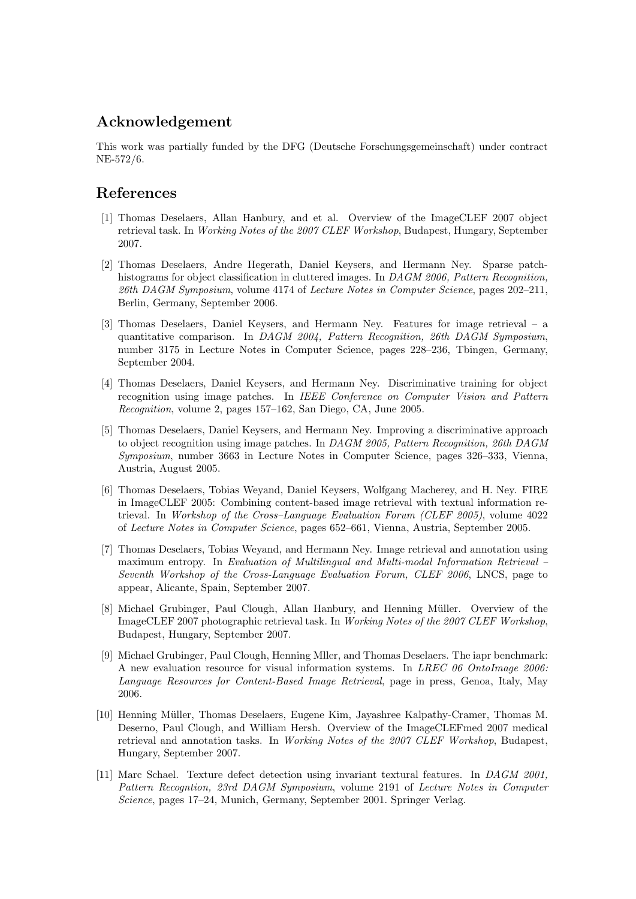# Acknowledgement

This work was partially funded by the DFG (Deutsche Forschungsgemeinschaft) under contract NE-572/6.

#### References

- [1] Thomas Deselaers, Allan Hanbury, and et al. Overview of the ImageCLEF 2007 object retrieval task. In Working Notes of the 2007 CLEF Workshop, Budapest, Hungary, September 2007.
- [2] Thomas Deselaers, Andre Hegerath, Daniel Keysers, and Hermann Ney. Sparse patchhistograms for object classification in cluttered images. In DAGM 2006, Pattern Recognition, 26th DAGM Symposium, volume 4174 of Lecture Notes in Computer Science, pages 202–211, Berlin, Germany, September 2006.
- [3] Thomas Deselaers, Daniel Keysers, and Hermann Ney. Features for image retrieval a quantitative comparison. In DAGM 2004, Pattern Recognition, 26th DAGM Symposium, number 3175 in Lecture Notes in Computer Science, pages 228–236, Tbingen, Germany, September 2004.
- [4] Thomas Deselaers, Daniel Keysers, and Hermann Ney. Discriminative training for object recognition using image patches. In IEEE Conference on Computer Vision and Pattern Recognition, volume 2, pages 157–162, San Diego, CA, June 2005.
- [5] Thomas Deselaers, Daniel Keysers, and Hermann Ney. Improving a discriminative approach to object recognition using image patches. In DAGM 2005, Pattern Recognition, 26th DAGM Symposium, number 3663 in Lecture Notes in Computer Science, pages 326–333, Vienna, Austria, August 2005.
- [6] Thomas Deselaers, Tobias Weyand, Daniel Keysers, Wolfgang Macherey, and H. Ney. FIRE in ImageCLEF 2005: Combining content-based image retrieval with textual information retrieval. In Workshop of the Cross–Language Evaluation Forum (CLEF 2005), volume 4022 of Lecture Notes in Computer Science, pages 652–661, Vienna, Austria, September 2005.
- [7] Thomas Deselaers, Tobias Weyand, and Hermann Ney. Image retrieval and annotation using maximum entropy. In Evaluation of Multilingual and Multi-modal Information Retrieval – Seventh Workshop of the Cross-Language Evaluation Forum, CLEF 2006, LNCS, page to appear, Alicante, Spain, September 2007.
- [8] Michael Grubinger, Paul Clough, Allan Hanbury, and Henning Müller. Overview of the ImageCLEF 2007 photographic retrieval task. In Working Notes of the 2007 CLEF Workshop, Budapest, Hungary, September 2007.
- [9] Michael Grubinger, Paul Clough, Henning Mller, and Thomas Deselaers. The iapr benchmark: A new evaluation resource for visual information systems. In LREC 06 OntoImage 2006: Language Resources for Content-Based Image Retrieval, page in press, Genoa, Italy, May 2006.
- [10] Henning Müller, Thomas Deselaers, Eugene Kim, Jayashree Kalpathy-Cramer, Thomas M. Deserno, Paul Clough, and William Hersh. Overview of the ImageCLEFmed 2007 medical retrieval and annotation tasks. In Working Notes of the 2007 CLEF Workshop, Budapest, Hungary, September 2007.
- [11] Marc Schael. Texture defect detection using invariant textural features. In DAGM 2001, Pattern Recogntion, 23rd DAGM Symposium, volume 2191 of Lecture Notes in Computer Science, pages 17–24, Munich, Germany, September 2001. Springer Verlag.